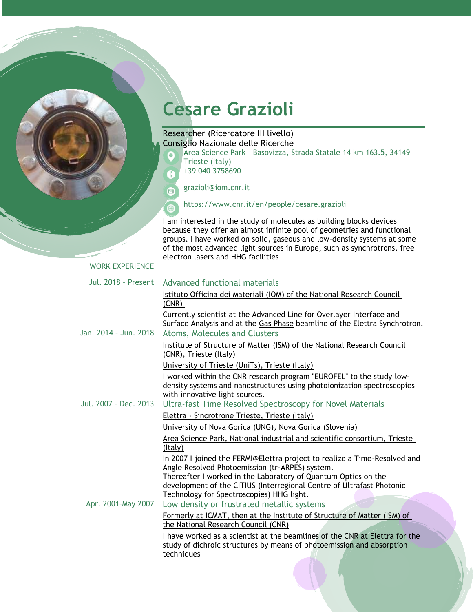# **Cesare Grazioli**

## Researcher (Ricercatore III livello) Consiglio Nazionale delle Ricerche

Area Science Park – Basovizza, Strada Statale 14 km 163.5, 34149 Trieste (Italy)

+39 040 3758690

grazioli@iom.cnr.it

https://www.cnr.it/en/people/cesare.grazioli

I am interested in the study of molecules as building blocks devices because they offer an almost infinite pool of geometries and functional groups. I have worked on solid, gaseous and low-density systems at some of the most advanced light sources in Europe, such as synchrotrons, free electron lasers and HHG facilities

#### WORK EXPERIENCE

| <b>Jul. 2018 - Present</b> | Advanced functional materials                                                                                                                                                                                                                                           |
|----------------------------|-------------------------------------------------------------------------------------------------------------------------------------------------------------------------------------------------------------------------------------------------------------------------|
|                            | Istituto Officina dei Materiali (IOM) of the National Research Council<br>(CNR)                                                                                                                                                                                         |
| Jan. 2014 - Jun. 2018      | Currently scientist at the Advanced Line for Overlayer Interface and<br>Surface Analysis and at the Gas Phase beamline of the Elettra Synchrotron.<br>Atoms, Molecules and Clusters                                                                                     |
|                            | Institute of Structure of Matter (ISM) of the National Research Council<br>(CNR), Trieste (Italy)                                                                                                                                                                       |
|                            | University of Trieste (UniTs), Trieste (Italy)                                                                                                                                                                                                                          |
| Jul. 2007 - Dec. 2013      | I worked within the CNR research program "EUROFEL" to the study low-<br>density systems and nanostructures using photoionization spectroscopies<br>with innovative light sources.<br>Ultra-fast Time Resolved Spectroscopy for Novel Materials                          |
|                            | Elettra - Sincrotrone Trieste, Trieste (Italy)                                                                                                                                                                                                                          |
|                            | University of Nova Gorica (UNG), Nova Gorica (Slovenia)                                                                                                                                                                                                                 |
|                            | Area Science Park, National industrial and scientific consortium, Trieste<br>(Italy)                                                                                                                                                                                    |
|                            | In 2007 I joined the FERMI@Elettra project to realize a Time-Resolved and<br>Angle Resolved Photoemission (tr-ARPES) system.<br>Thereafter I worked in the Laboratory of Quantum Optics on the<br>development of the CITIUS (Interregional Centre of Ultrafast Photonic |
|                            | Technology for Spectroscopies) HHG light.                                                                                                                                                                                                                               |
| Apr. 2001-May 2007         | Low density or frustrated metallic systems                                                                                                                                                                                                                              |
|                            | Formerly at ICMAT, then at the Institute of Structure of Matter (ISM) of<br>the National Research Council (CNR)                                                                                                                                                         |
|                            | I have worked as a scientist at the beamlines of the CNR at Elettra for the<br>study of dichroic structures by means of photoemission and absorption<br>techniques                                                                                                      |